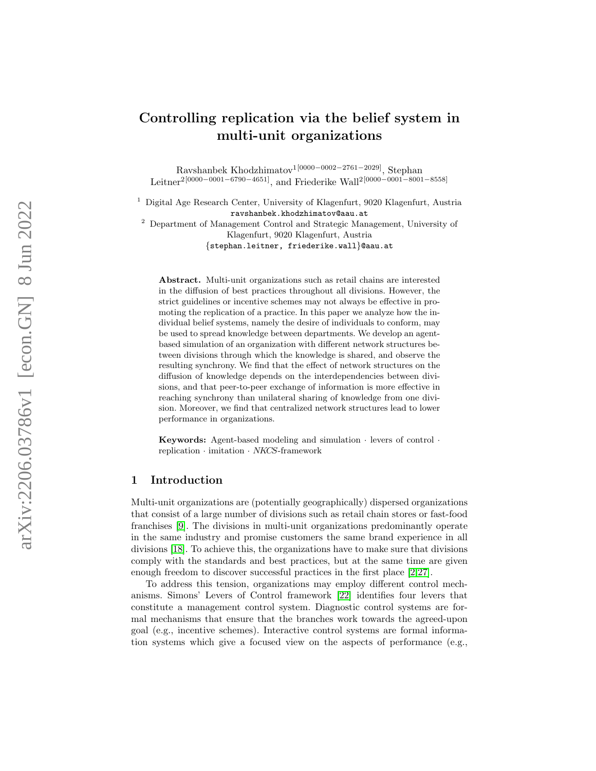# Controlling replication via the belief system in multi-unit organizations

Ravshanbek Khodzhimatov<sup>1[0000–0002–2761–2029]</sup>, Stephan Leitner<sup>2</sup><sup>[0000–0001–6790–4651]</sup>, and Friederike Wall<sup>2</sup><sup>[0000–0001–8001–8558]</sup>

<sup>1</sup> Digital Age Research Center, University of Klagenfurt, 9020 Klagenfurt, Austria ravshanbek.khodzhimatov@aau.at

<sup>2</sup> Department of Management Control and Strategic Management, University of Klagenfurt, 9020 Klagenfurt, Austria

{stephan.leitner, friederike.wall }@aau.at

Abstract. Multi-unit organizations such as retail chains are interested in the diffusion of best practices throughout all divisions. However, the strict guidelines or incentive schemes may not always be effective in promoting the replication of a practice. In this paper we analyze how the individual belief systems, namely the desire of individuals to conform, may be used to spread knowledge between departments. We develop an agentbased simulation of an organization with different network structures between divisions through which the knowledge is shared, and observe the resulting synchrony. We find that the effect of network structures on the diffusion of knowledge depends on the interdependencies between divisions, and that peer-to-peer exchange of information is more effective in reaching synchrony than unilateral sharing of knowledge from one division. Moreover, we find that centralized network structures lead to lower performance in organizations.

Keywords: Agent-based modeling and simulation  $\cdot$  levers of control  $\cdot$ replication · imitation · NKCS-framework

# 1 Introduction

Multi-unit organizations are (potentially geographically) dispersed organizations that consist of a large number of divisions such as retail chain stores or fast-food franchises [\[9\]](#page-10-0). The divisions in multi-unit organizations predominantly operate in the same industry and promise customers the same brand experience in all divisions [\[18\]](#page-10-1). To achieve this, the organizations have to make sure that divisions comply with the standards and best practices, but at the same time are given enough freedom to discover successful practices in the first place [\[2,](#page-9-0)[27\]](#page-11-0).

To address this tension, organizations may employ different control mechanisms. Simons' Levers of Control framework [\[22\]](#page-10-2) identifies four levers that constitute a management control system. Diagnostic control systems are formal mechanisms that ensure that the branches work towards the agreed-upon goal (e.g., incentive schemes). Interactive control systems are formal information systems which give a focused view on the aspects of performance (e.g.,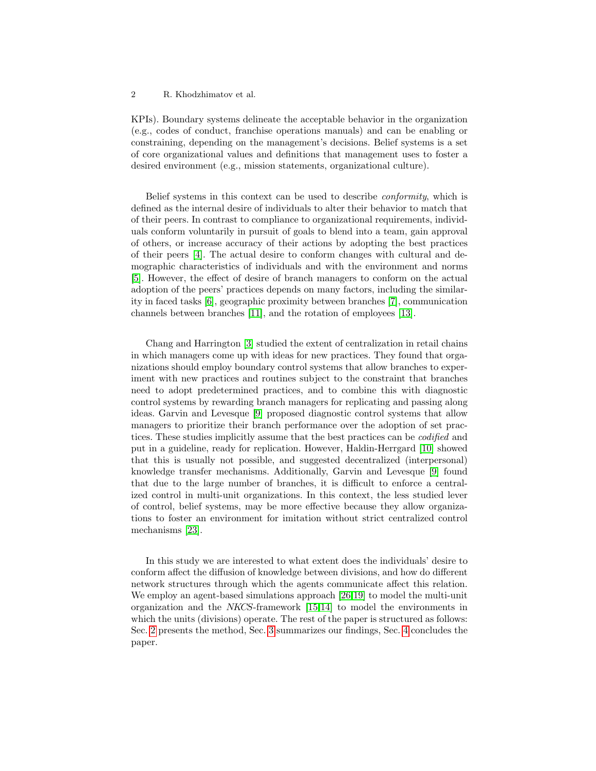KPIs). Boundary systems delineate the acceptable behavior in the organization (e.g., codes of conduct, franchise operations manuals) and can be enabling or constraining, depending on the management's decisions. Belief systems is a set of core organizational values and definitions that management uses to foster a desired environment (e.g., mission statements, organizational culture).

Belief systems in this context can be used to describe conformity, which is defined as the internal desire of individuals to alter their behavior to match that of their peers. In contrast to compliance to organizational requirements, individuals conform voluntarily in pursuit of goals to blend into a team, gain approval of others, or increase accuracy of their actions by adopting the best practices of their peers [\[4\]](#page-9-1). The actual desire to conform changes with cultural and demographic characteristics of individuals and with the environment and norms [\[5\]](#page-10-3). However, the effect of desire of branch managers to conform on the actual adoption of the peers' practices depends on many factors, including the similarity in faced tasks [\[6\]](#page-10-4), geographic proximity between branches [\[7\]](#page-10-5), communication channels between branches [\[11\]](#page-10-6), and the rotation of employees [\[13\]](#page-10-7).

Chang and Harrington [\[3\]](#page-9-2) studied the extent of centralization in retail chains in which managers come up with ideas for new practices. They found that organizations should employ boundary control systems that allow branches to experiment with new practices and routines subject to the constraint that branches need to adopt predetermined practices, and to combine this with diagnostic control systems by rewarding branch managers for replicating and passing along ideas. Garvin and Levesque [\[9\]](#page-10-0) proposed diagnostic control systems that allow managers to prioritize their branch performance over the adoption of set practices. These studies implicitly assume that the best practices can be codified and put in a guideline, ready for replication. However, Haldin-Herrgard [\[10\]](#page-10-8) showed that this is usually not possible, and suggested decentralized (interpersonal) knowledge transfer mechanisms. Additionally, Garvin and Levesque [\[9\]](#page-10-0) found that due to the large number of branches, it is difficult to enforce a centralized control in multi-unit organizations. In this context, the less studied lever of control, belief systems, may be more effective because they allow organizations to foster an environment for imitation without strict centralized control mechanisms [\[23\]](#page-10-9).

In this study we are interested to what extent does the individuals' desire to conform affect the diffusion of knowledge between divisions, and how do different network structures through which the agents communicate affect this relation. We employ an agent-based simulations approach [\[26](#page-11-1)[,19\]](#page-10-10) to model the multi-unit organization and the NKCS-framework [\[15,](#page-10-11)[14\]](#page-10-12) to model the environments in which the units (divisions) operate. The rest of the paper is structured as follows: Sec. [2](#page-2-0) presents the method, Sec. [3](#page-5-0) summarizes our findings, Sec. [4](#page-8-0) concludes the paper.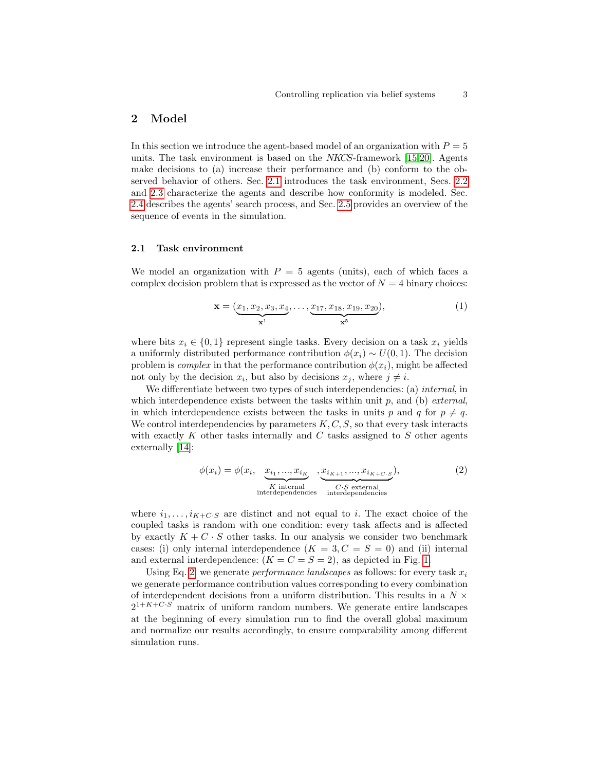# <span id="page-2-0"></span>2 Model

In this section we introduce the agent-based model of an organization with  $P = 5$ units. The task environment is based on the NKCS-framework [\[15](#page-10-11)[,20\]](#page-10-13). Agents make decisions to (a) increase their performance and (b) conform to the observed behavior of others. Sec. [2.1](#page-2-1) introduces the task environment, Secs. [2.2](#page-3-0) and [2.3](#page-4-0) characterize the agents and describe how conformity is modeled. Sec. [2.4](#page-5-1) describes the agents' search process, and Sec. [2.5](#page-5-2) provides an overview of the sequence of events in the simulation.

#### <span id="page-2-1"></span>2.1 Task environment

We model an organization with  $P = 5$  agents (units), each of which faces a complex decision problem that is expressed as the vector of  $N = 4$  binary choices:

$$
\mathbf{x} = (\underbrace{x_1, x_2, x_3, x_4}_{\mathbf{x}^1}, \dots, \underbrace{x_{17}, x_{18}, x_{19}, x_{20}}_{\mathbf{x}^5}),
$$
(1)

where bits  $x_i \in \{0, 1\}$  represent single tasks. Every decision on a task  $x_i$  yields a uniformly distributed performance contribution  $\phi(x_i) \sim U(0, 1)$ . The decision problem is *complex* in that the performance contribution  $\phi(x_i)$ , might be affected not only by the decision  $x_i$ , but also by decisions  $x_j$ , where  $j \neq i$ .

We differentiate between two types of such interdependencies: (a) *internal*, in which interdependence exists between the tasks within unit  $p$ , and (b) *external*, in which interdependence exists between the tasks in units p and q for  $p \neq q$ . We control interdependencies by parameters  $K, C, S$ , so that every task interacts with exactly  $K$  other tasks internally and  $C$  tasks assigned to  $S$  other agents externally [\[14\]](#page-10-12):

<span id="page-2-2"></span>
$$
\phi(x_i) = \phi(x_i, \underbrace{x_{i_1}, \dots, x_{i_K}}_{\text{K internal}} \underbrace{x_{i_{K+1}}, \dots, x_{i_{K+C \cdot S}}}_{\text{interdependence}}),
$$
\n(2)

where  $i_1, \ldots, i_{K+C\cdot S}$  are distinct and not equal to i. The exact choice of the coupled tasks is random with one condition: every task affects and is affected by exactly  $K + C \cdot S$  other tasks. In our analysis we consider two benchmark cases: (i) only internal interdependence  $(K = 3, C = S = 0)$  and (ii) internal and external interdependence:  $(K = C = S = 2)$ , as depicted in Fig. [1.](#page-3-1)

Using Eq. [2,](#page-2-2) we generate *performance landscapes* as follows: for every task  $x_i$ we generate performance contribution values corresponding to every combination of interdependent decisions from a uniform distribution. This results in a  $N \times$  $2^{1+K+C\cdot S}$  matrix of uniform random numbers. We generate entire landscapes at the beginning of every simulation run to find the overall global maximum and normalize our results accordingly, to ensure comparability among different simulation runs.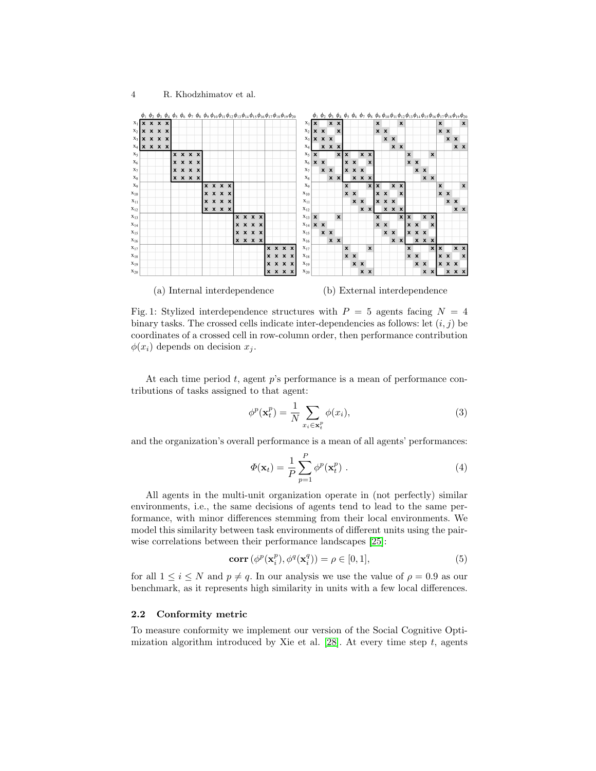$\phi(x_i)$  depends on decision  $x_i$ .

<span id="page-3-1"></span>

Fig. 1: Stylized interdependence structures with  $P = 5$  agents facing  $N = 4$ binary tasks. The crossed cells indicate inter-dependencies as follows: let  $(i, j)$  be

At each time period  $t$ , agent  $p$ 's performance is a mean of performance contributions of tasks assigned to that agent:

coordinates of a crossed cell in row-column order, then performance contribution

<span id="page-3-2"></span>
$$
\phi^p(\mathbf{x}_t^p) = \frac{1}{N} \sum_{x_i \in \mathbf{x}_t^p} \phi(x_i),\tag{3}
$$

and the organization's overall performance is a mean of all agents' performances:

$$
\Phi(\mathbf{x}_t) = \frac{1}{P} \sum_{p=1}^{P} \phi^p(\mathbf{x}_t^p) .
$$
\n(4)

All agents in the multi-unit organization operate in (not perfectly) similar environments, i.e., the same decisions of agents tend to lead to the same performance, with minor differences stemming from their local environments. We model this similarity between task environments of different units using the pairwise correlations between their performance landscapes [\[25\]](#page-10-14):

$$
\operatorname{corr}\left(\phi^p(\mathbf{x}_i^p), \phi^q(\mathbf{x}_i^q)\right) = \rho \in [0, 1],\tag{5}
$$

for all  $1 \leq i \leq N$  and  $p \neq q$ . In our analysis we use the value of  $\rho = 0.9$  as our benchmark, as it represents high similarity in units with a few local differences.

#### <span id="page-3-0"></span>2.2 Conformity metric

To measure conformity we implement our version of the Social Cognitive Optimization algorithm introduced by Xie et al.  $[28]$ . At every time step t, agents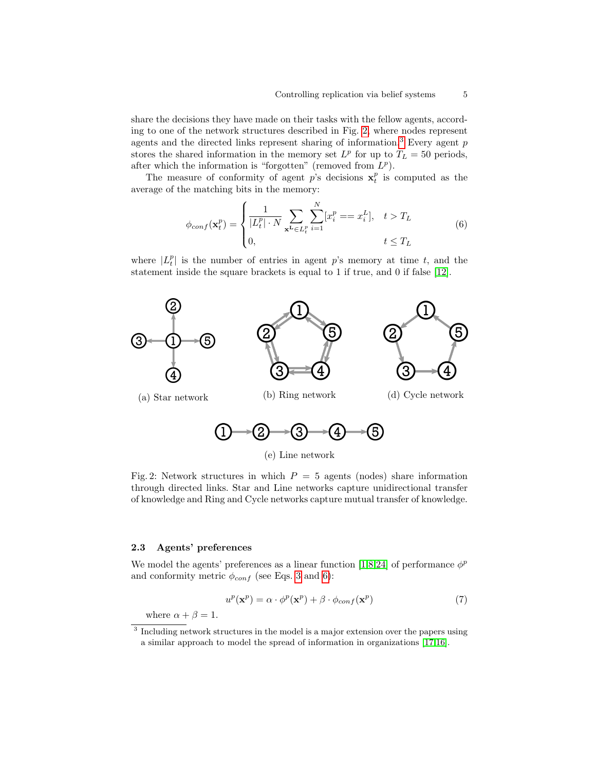share the decisions they have made on their tasks with the fellow agents, according to one of the network structures described in Fig. [2,](#page-4-1) where nodes represent agents and the directed links represent sharing of information.<sup>[3](#page-4-2)</sup> Every agent  $p$ stores the shared information in the memory set  $L^p$  for up to  $T_L = 50$  periods, after which the information is "forgotten" (removed from  $L^p$ ).

The measure of conformity of agent  $p$ 's decisions  $x_t^p$  is computed as the average of the matching bits in the memory:

<span id="page-4-3"></span>
$$
\phi_{conf}(\mathbf{x}_t^p) = \begin{cases} \frac{1}{|L_t^p| \cdot N} \sum_{\mathbf{x}^L \in L_t^p} \sum_{i=1}^N [x_i^p = x_i^L], & t > T_L \\ 0, & t \le T_L \end{cases}
$$
(6)

where  $|L_t^p|$  is the number of entries in agent p's memory at time t, and the statement inside the square brackets is equal to 1 if true, and 0 if false [\[12\]](#page-10-15).

<span id="page-4-1"></span>

(e) Line network

Fig. 2: Network structures in which  $P = 5$  agents (nodes) share information through directed links. Star and Line networks capture unidirectional transfer of knowledge and Ring and Cycle networks capture mutual transfer of knowledge.

#### <span id="page-4-0"></span>2.3 Agents' preferences

We model the agents' preferences as a linear function [\[1,](#page-9-3)[8,](#page-10-16)[24\]](#page-10-17) of performance  $\phi^p$ and conformity metric  $\phi_{conf}$  (see Eqs. [3](#page-3-2) and [6\)](#page-4-3):

<span id="page-4-4"></span>
$$
u^{p}(\mathbf{x}^{p}) = \alpha \cdot \phi^{p}(\mathbf{x}^{p}) + \beta \cdot \phi_{conf}(\mathbf{x}^{p})
$$
\n(7)

where  $\alpha + \beta = 1$ .

<span id="page-4-2"></span><sup>&</sup>lt;sup>3</sup> Including network structures in the model is a major extension over the papers using a similar approach to model the spread of information in organizations [\[17,](#page-10-18)[16\]](#page-10-19).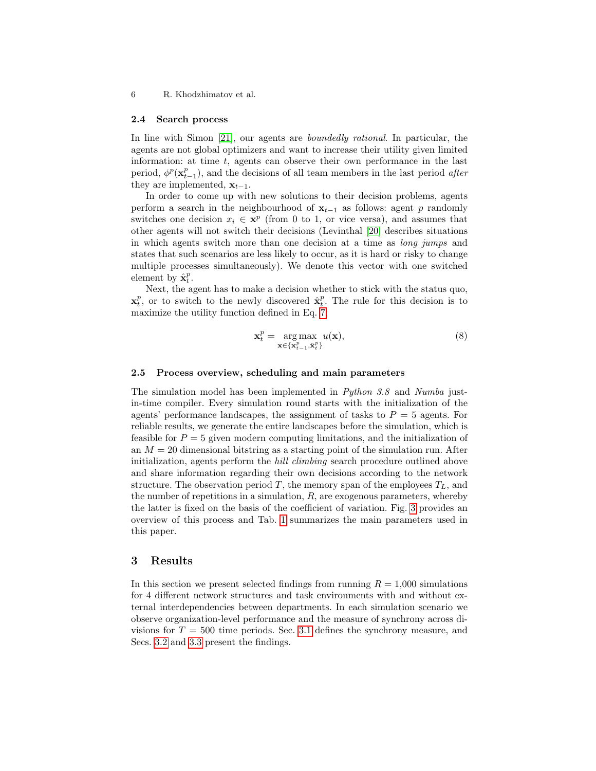#### <span id="page-5-1"></span>2.4 Search process

In line with Simon [\[21\]](#page-10-20), our agents are *boundedly rational*. In particular, the agents are not global optimizers and want to increase their utility given limited information: at time  $t$ , agents can observe their own performance in the last period,  $\phi^p(\mathbf{x}_{t-1}^p)$ , and the decisions of all team members in the last period *after* they are implemented,  $\mathbf{x}_{t-1}$ .

In order to come up with new solutions to their decision problems, agents perform a search in the neighbourhood of  $x_{t-1}$  as follows: agent p randomly switches one decision  $x_i \in \mathbf{x}^p$  (from 0 to 1, or vice versa), and assumes that other agents will not switch their decisions (Levinthal [\[20\]](#page-10-13) describes situations in which agents switch more than one decision at a time as long jumps and states that such scenarios are less likely to occur, as it is hard or risky to change multiple processes simultaneously). We denote this vector with one switched element by  $\hat{\mathbf{x}}_t^p$ .

Next, the agent has to make a decision whether to stick with the status quo,  $\mathbf{x}_t^p$ , or to switch to the newly discovered  $\hat{\mathbf{x}}_t^p$ . The rule for this decision is to maximize the utility function defined in Eq. [7:](#page-4-4)

$$
\mathbf{x}_t^p = \underset{\mathbf{x} \in \{\mathbf{x}_{t-1}^p, \hat{\mathbf{x}}_t^p\}}{\arg \max} u(\mathbf{x}),\tag{8}
$$

### <span id="page-5-2"></span>2.5 Process overview, scheduling and main parameters

The simulation model has been implemented in Python 3.8 and Numba justin-time compiler. Every simulation round starts with the initialization of the agents' performance landscapes, the assignment of tasks to  $P = 5$  agents. For reliable results, we generate the entire landscapes before the simulation, which is feasible for  $P = 5$  given modern computing limitations, and the initialization of an  $M = 20$  dimensional bitstring as a starting point of the simulation run. After initialization, agents perform the *hill climbing* search procedure outlined above and share information regarding their own decisions according to the network structure. The observation period T, the memory span of the employees  $T_L$ , and the number of repetitions in a simulation,  $R$ , are exogenous parameters, whereby the latter is fixed on the basis of the coefficient of variation. Fig. [3](#page-6-0) provides an overview of this process and Tab. [1](#page-6-1) summarizes the main parameters used in this paper.

# <span id="page-5-0"></span>3 Results

In this section we present selected findings from running  $R = 1,000$  simulations for 4 different network structures and task environments with and without external interdependencies between departments. In each simulation scenario we observe organization-level performance and the measure of synchrony across divisions for  $T = 500$  time periods. Sec. [3.1](#page-6-2) defines the synchrony measure, and Secs. [3.2](#page-7-0) and [3.3](#page-8-1) present the findings.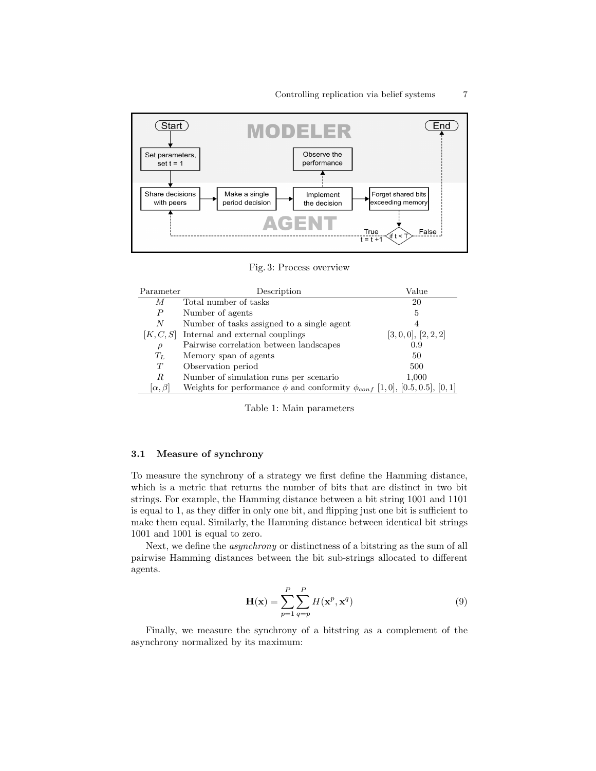<span id="page-6-0"></span>

Fig. 3: Process overview

<span id="page-6-1"></span>

| Parameter         | Description                                                                           | Value            |
|-------------------|---------------------------------------------------------------------------------------|------------------|
| М                 | Total number of tasks                                                                 | 20               |
| $\boldsymbol{P}$  | Number of agents                                                                      | 5                |
| N                 | Number of tasks assigned to a single agent                                            | 4                |
| [K, C, S]         | Internal and external couplings                                                       | [3,0,0], [2,2,2] |
| $\rho$            | Pairwise correlation between landscapes                                               | 0.9              |
| $T_L$             | Memory span of agents                                                                 | 50               |
| T                 | Observation period                                                                    | 500              |
| R                 | Number of simulation runs per scenario                                                | 1,000            |
| $[\alpha, \beta]$ | Weights for performance $\phi$ and conformity $\phi_{conf}$ [1,0], [0.5, 0.5], [0, 1] |                  |

Table 1: Main parameters

# <span id="page-6-2"></span>3.1 Measure of synchrony

To measure the synchrony of a strategy we first define the Hamming distance, which is a metric that returns the number of bits that are distinct in two bit strings. For example, the Hamming distance between a bit string 1001 and 1101 is equal to 1, as they differ in only one bit, and flipping just one bit is sufficient to make them equal. Similarly, the Hamming distance between identical bit strings 1001 and 1001 is equal to zero.

Next, we define the asynchrony or distinctness of a bitstring as the sum of all pairwise Hamming distances between the bit sub-strings allocated to different agents.

$$
\mathbf{H}(\mathbf{x}) = \sum_{p=1}^{P} \sum_{q=p}^{P} H(\mathbf{x}^p, \mathbf{x}^q)
$$
(9)

Finally, we measure the synchrony of a bitstring as a complement of the asynchrony normalized by its maximum: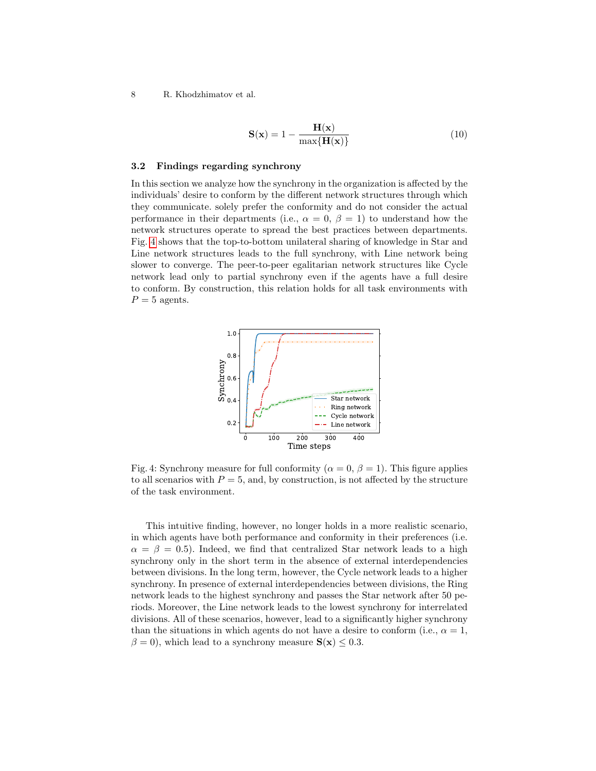$$
\mathbf{S}(\mathbf{x}) = 1 - \frac{\mathbf{H}(\mathbf{x})}{\max\{\mathbf{H}(\mathbf{x})\}}\tag{10}
$$

#### <span id="page-7-0"></span>3.2 Findings regarding synchrony

In this section we analyze how the synchrony in the organization is affected by the individuals' desire to conform by the different network structures through which they communicate. solely prefer the conformity and do not consider the actual performance in their departments (i.e.,  $\alpha = 0, \beta = 1$ ) to understand how the network structures operate to spread the best practices between departments. Fig. [4](#page-7-1) shows that the top-to-bottom unilateral sharing of knowledge in Star and Line network structures leads to the full synchrony, with Line network being slower to converge. The peer-to-peer egalitarian network structures like Cycle network lead only to partial synchrony even if the agents have a full desire to conform. By construction, this relation holds for all task environments with  $P = 5$  agents.

<span id="page-7-1"></span>

Fig. 4: Synchrony measure for full conformity ( $\alpha = 0, \beta = 1$ ). This figure applies to all scenarios with  $P = 5$ , and, by construction, is not affected by the structure of the task environment.

This intuitive finding, however, no longer holds in a more realistic scenario, in which agents have both performance and conformity in their preferences (i.e.  $\alpha = \beta = 0.5$ . Indeed, we find that centralized Star network leads to a high synchrony only in the short term in the absence of external interdependencies between divisions. In the long term, however, the Cycle network leads to a higher synchrony. In presence of external interdependencies between divisions, the Ring network leads to the highest synchrony and passes the Star network after 50 periods. Moreover, the Line network leads to the lowest synchrony for interrelated divisions. All of these scenarios, however, lead to a significantly higher synchrony than the situations in which agents do not have a desire to conform (i.e.,  $\alpha = 1$ ,  $\beta = 0$ , which lead to a synchrony measure  $S(x) \leq 0.3$ .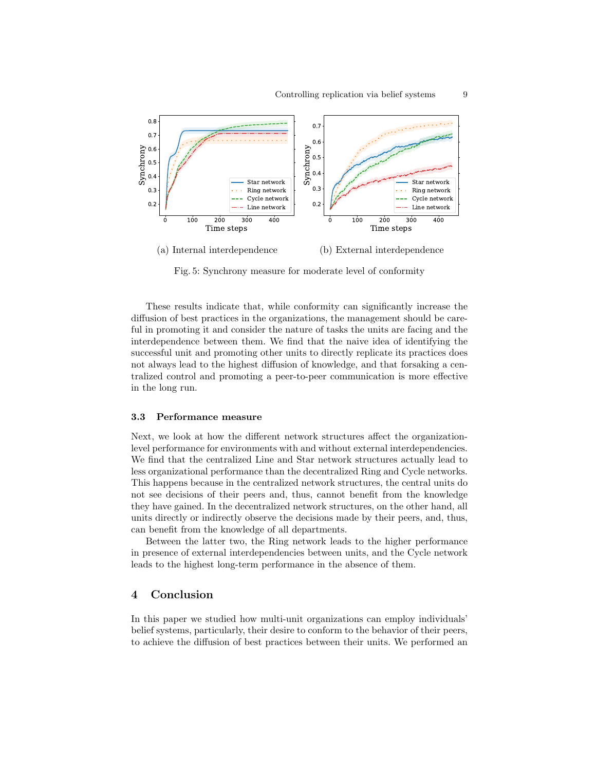

(a) Internal interdependence (b) External interdependence

Fig. 5: Synchrony measure for moderate level of conformity

These results indicate that, while conformity can significantly increase the diffusion of best practices in the organizations, the management should be careful in promoting it and consider the nature of tasks the units are facing and the interdependence between them. We find that the naive idea of identifying the successful unit and promoting other units to directly replicate its practices does not always lead to the highest diffusion of knowledge, and that forsaking a centralized control and promoting a peer-to-peer communication is more effective in the long run.

#### <span id="page-8-1"></span>3.3 Performance measure

Next, we look at how the different network structures affect the organizationlevel performance for environments with and without external interdependencies. We find that the centralized Line and Star network structures actually lead to less organizational performance than the decentralized Ring and Cycle networks. This happens because in the centralized network structures, the central units do not see decisions of their peers and, thus, cannot benefit from the knowledge they have gained. In the decentralized network structures, on the other hand, all units directly or indirectly observe the decisions made by their peers, and, thus, can benefit from the knowledge of all departments.

Between the latter two, the Ring network leads to the higher performance in presence of external interdependencies between units, and the Cycle network leads to the highest long-term performance in the absence of them.

# <span id="page-8-0"></span>4 Conclusion

In this paper we studied how multi-unit organizations can employ individuals' belief systems, particularly, their desire to conform to the behavior of their peers, to achieve the diffusion of best practices between their units. We performed an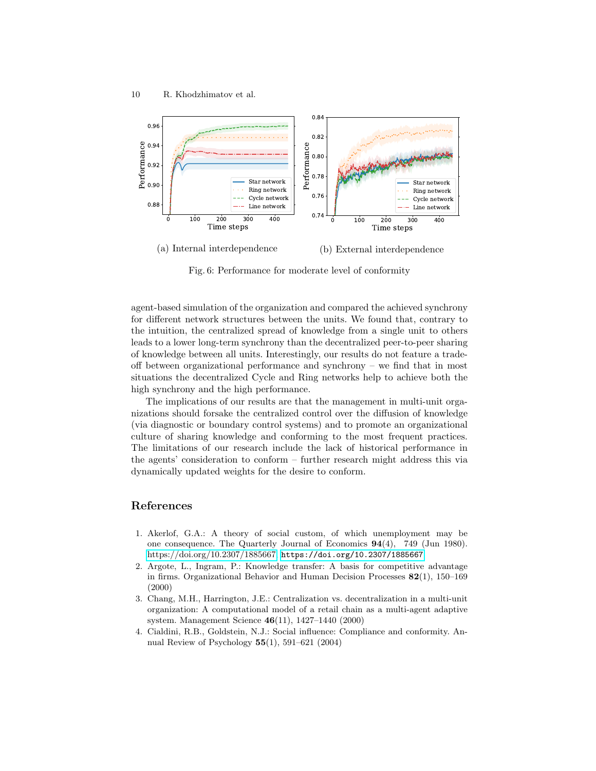

Fig. 6: Performance for moderate level of conformity

agent-based simulation of the organization and compared the achieved synchrony for different network structures between the units. We found that, contrary to the intuition, the centralized spread of knowledge from a single unit to others leads to a lower long-term synchrony than the decentralized peer-to-peer sharing of knowledge between all units. Interestingly, our results do not feature a tradeoff between organizational performance and synchrony – we find that in most situations the decentralized Cycle and Ring networks help to achieve both the high synchrony and the high performance.

The implications of our results are that the management in multi-unit organizations should forsake the centralized control over the diffusion of knowledge (via diagnostic or boundary control systems) and to promote an organizational culture of sharing knowledge and conforming to the most frequent practices. The limitations of our research include the lack of historical performance in the agents' consideration to conform – further research might address this via dynamically updated weights for the desire to conform.

# References

- <span id="page-9-3"></span>1. Akerlof, G.A.: A theory of social custom, of which unemployment may be one consequence. The Quarterly Journal of Economics 94(4), 749 (Jun 1980). [https://doi.org/10.2307/1885667,](https://doi.org/10.2307/1885667) <https://doi.org/10.2307/1885667>
- <span id="page-9-0"></span>2. Argote, L., Ingram, P.: Knowledge transfer: A basis for competitive advantage in firms. Organizational Behavior and Human Decision Processes 82(1), 150–169 (2000)
- <span id="page-9-2"></span>3. Chang, M.H., Harrington, J.E.: Centralization vs. decentralization in a multi-unit organization: A computational model of a retail chain as a multi-agent adaptive system. Management Science 46(11), 1427–1440 (2000)
- <span id="page-9-1"></span>4. Cialdini, R.B., Goldstein, N.J.: Social influence: Compliance and conformity. Annual Review of Psychology 55(1), 591–621 (2004)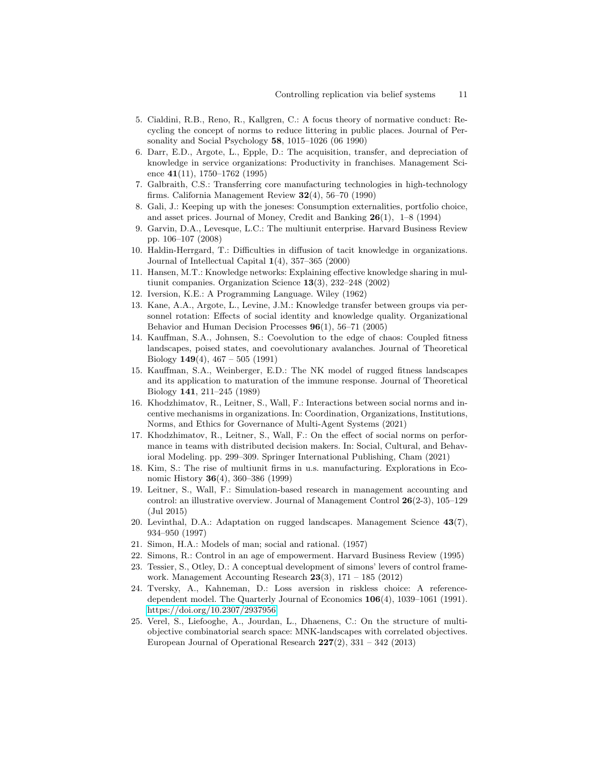- <span id="page-10-3"></span>5. Cialdini, R.B., Reno, R., Kallgren, C.: A focus theory of normative conduct: Recycling the concept of norms to reduce littering in public places. Journal of Personality and Social Psychology 58, 1015–1026 (06 1990)
- <span id="page-10-4"></span>6. Darr, E.D., Argote, L., Epple, D.: The acquisition, transfer, and depreciation of knowledge in service organizations: Productivity in franchises. Management Science 41(11), 1750–1762 (1995)
- <span id="page-10-5"></span>7. Galbraith, C.S.: Transferring core manufacturing technologies in high-technology firms. California Management Review  $32(4)$ , 56–70 (1990)
- <span id="page-10-16"></span>8. Gali, J.: Keeping up with the joneses: Consumption externalities, portfolio choice, and asset prices. Journal of Money, Credit and Banking 26(1), 1–8 (1994)
- <span id="page-10-0"></span>9. Garvin, D.A., Levesque, L.C.: The multiunit enterprise. Harvard Business Review pp. 106–107 (2008)
- <span id="page-10-8"></span>10. Haldin-Herrgard, T.: Difficulties in diffusion of tacit knowledge in organizations. Journal of Intellectual Capital  $1(4)$ , 357–365 (2000)
- <span id="page-10-6"></span>11. Hansen, M.T.: Knowledge networks: Explaining effective knowledge sharing in multiunit companies. Organization Science 13(3), 232–248 (2002)
- <span id="page-10-15"></span>12. Iversion, K.E.: A Programming Language. Wiley (1962)
- <span id="page-10-7"></span>13. Kane, A.A., Argote, L., Levine, J.M.: Knowledge transfer between groups via personnel rotation: Effects of social identity and knowledge quality. Organizational Behavior and Human Decision Processes 96(1), 56–71 (2005)
- <span id="page-10-12"></span>14. Kauffman, S.A., Johnsen, S.: Coevolution to the edge of chaos: Coupled fitness landscapes, poised states, and coevolutionary avalanches. Journal of Theoretical Biology  $149(4)$ ,  $467 - 505$  (1991)
- <span id="page-10-11"></span>15. Kauffman, S.A., Weinberger, E.D.: The NK model of rugged fitness landscapes and its application to maturation of the immune response. Journal of Theoretical Biology 141, 211–245 (1989)
- <span id="page-10-19"></span>16. Khodzhimatov, R., Leitner, S., Wall, F.: Interactions between social norms and incentive mechanisms in organizations. In: Coordination, Organizations, Institutions, Norms, and Ethics for Governance of Multi-Agent Systems (2021)
- <span id="page-10-18"></span>17. Khodzhimatov, R., Leitner, S., Wall, F.: On the effect of social norms on performance in teams with distributed decision makers. In: Social, Cultural, and Behavioral Modeling. pp. 299–309. Springer International Publishing, Cham (2021)
- <span id="page-10-1"></span>18. Kim, S.: The rise of multiunit firms in u.s. manufacturing. Explorations in Economic History 36(4), 360–386 (1999)
- <span id="page-10-10"></span>19. Leitner, S., Wall, F.: Simulation-based research in management accounting and control: an illustrative overview. Journal of Management Control 26(2-3), 105–129 (Jul 2015)
- <span id="page-10-13"></span>20. Levinthal, D.A.: Adaptation on rugged landscapes. Management Science 43(7), 934–950 (1997)
- <span id="page-10-20"></span>21. Simon, H.A.: Models of man; social and rational. (1957)
- <span id="page-10-2"></span>22. Simons, R.: Control in an age of empowerment. Harvard Business Review (1995)
- <span id="page-10-9"></span>23. Tessier, S., Otley, D.: A conceptual development of simons' levers of control framework. Management Accounting Research  $23(3)$ , 171 – 185 (2012)
- <span id="page-10-17"></span>24. Tversky, A., Kahneman, D.: Loss aversion in riskless choice: A referencedependent model. The Quarterly Journal of Economics 106(4), 1039–1061 (1991). <https://doi.org/10.2307/2937956>
- <span id="page-10-14"></span>25. Verel, S., Liefooghe, A., Jourdan, L., Dhaenens, C.: On the structure of multiobjective combinatorial search space: MNK-landscapes with correlated objectives. European Journal of Operational Research  $227(2)$ ,  $331 - 342$  (2013)